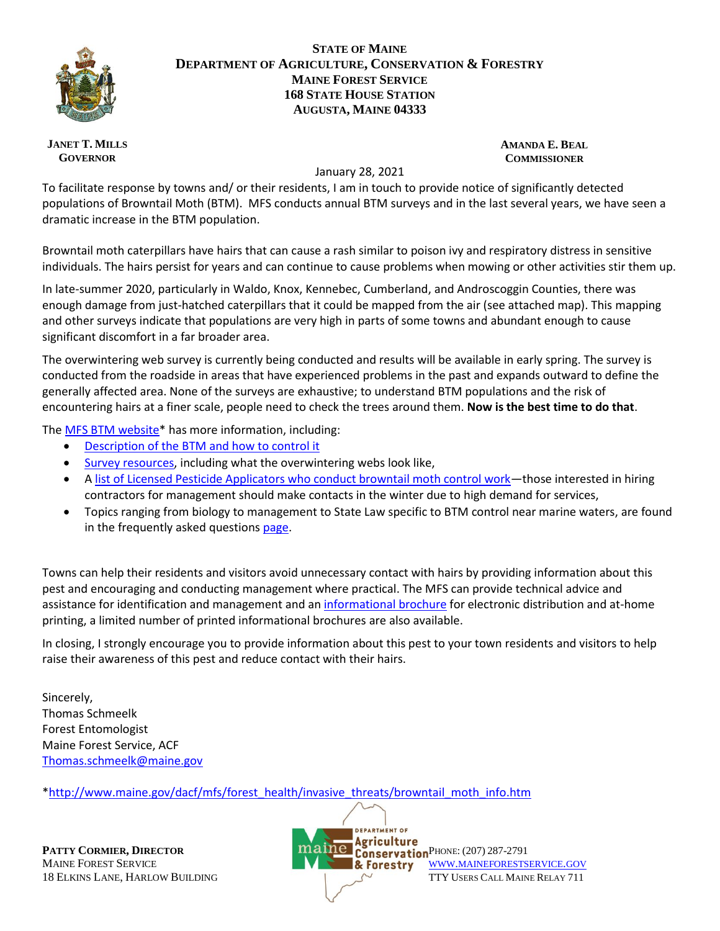

## **STATE OF MAINE DEPARTMENT OF AGRICULTURE, CONSERVATION & FORESTRY MAINE FOREST SERVICE 168 STATE HOUSE STATION AUGUSTA, MAINE 04333**

## **JANET T. MILLS GOVERNOR**

## **AMANDA E. BEAL COMMISSIONER**

## January 28, 2021

To facilitate response by towns and/ or their residents, I am in touch to provide notice of significantly detected populations of Browntail Moth (BTM). MFS conducts annual BTM surveys and in the last several years, we have seen a dramatic increase in the BTM population.

Browntail moth caterpillars have hairs that can cause a rash similar to poison ivy and respiratory distress in sensitive individuals. The hairs persist for years and can continue to cause problems when mowing or other activities stir them up.

In late-summer 2020, particularly in Waldo, Knox, Kennebec, Cumberland, and Androscoggin Counties, there was enough damage from just-hatched caterpillars that it could be mapped from the air (see attached map). This mapping and other surveys indicate that populations are very high in parts of some towns and abundant enough to cause significant discomfort in a far broader area.

The overwintering web survey is currently being conducted and results will be available in early spring. The survey is conducted from the roadside in areas that have experienced problems in the past and expands outward to define the generally affected area. None of the surveys are exhaustive; to understand BTM populations and the risk of encountering hairs at a finer scale, people need to check the trees around them. **Now is the best time to do that**.

The [MFS BTM website\\*](http://www.maine.gov/dacf/mfs/forest_health/invasive_threats/browntail_moth_info.htm) has more information, including:

- Description of the [BTM and how to control it](https://www.maine.gov/dacf/mfs/forest_health/documents/browntail_moth_brochure.pdf)
- [Survey resources,](https://www.maine.gov/dacf/mfs/forest_health/invasive_threats/browntail_moth_info.htm#survey_mgmt) including what the overwintering webs look like,
- A [list of Licensed Pesticide Applicators who conduct browntail moth control work](https://www.maine.gov/dacf/mfs/forest_health/invasive_threats/browntail_moth_pesticide_applicator_info.htm)—those interested in hiring contractors for management should make contacts in the winter due to high demand for services,
- Topics ranging from biology to management to State Law specific to BTM control near marine waters, are found in the frequently asked question[s page.](https://www.maine.gov/dacf/mfs/forest_health/invasive_threats/browntail_moth_info.htm#faqs)

Towns can help their residents and visitors avoid unnecessary contact with hairs by providing information about this pest and encouraging and conducting management where practical. The MFS can provide technical advice and assistance for identification and management and a[n informational brochure](https://www.maine.gov/dacf/mfs/forest_health/documents/browntail_moth_brochure.pdf) for electronic distribution and at-home printing, a limited number of printed informational brochures are also available.

In closing, I strongly encourage you to provide information about this pest to your town residents and visitors to help raise their awareness of this pest and reduce contact with their hairs.

Sincerely, Thomas Schmeelk Forest Entomologist Maine Forest Service, ACF [Thomas.schmeelk@maine.gov](mailto:Thomas.schmeelk@maine.gov)

[\\*http://www.maine.gov/dacf/mfs/forest\\_health/invasive\\_threats/browntail\\_moth\\_info.htm](http://www.maine.gov/dacf/mfs/forest_health/invasive_threats/browntail_moth_info.htm)